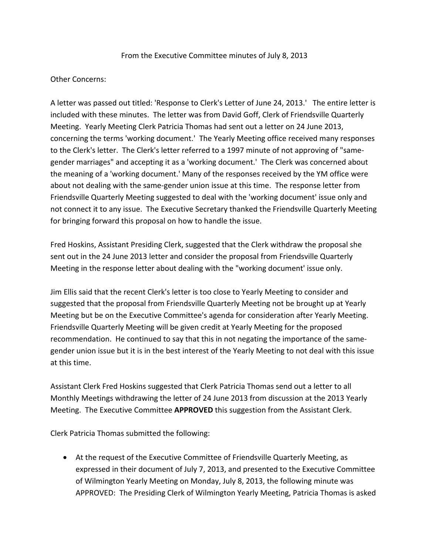## From the Executive Committee minutes of July 8, 2013

## Other Concerns:

A letter was passed out titled: 'Response to Clerk's Letter of June 24, 2013.' The entire letter is included with these minutes. The letter was from David Goff, Clerk of Friendsville Quarterly Meeting. Yearly Meeting Clerk Patricia Thomas had sent out a letter on 24 June 2013, concerning the terms 'working document.' The Yearly Meeting office received many responses to the Clerk's letter. The Clerk's letter referred to a 1997 minute of not approving of "samegender marriages" and accepting it as a 'working document.' The Clerk was concerned about the meaning of a 'working document.' Many of the responses received by the YM office were about not dealing with the same-gender union issue at this time. The response letter from Friendsville Quarterly Meeting suggested to deal with the 'working document' issue only and not connect it to any issue. The Executive Secretary thanked the Friendsville Quarterly Meeting for bringing forward this proposal on how to handle the issue.

Fred Hoskins, Assistant Presiding Clerk, suggested that the Clerk withdraw the proposal she sent out in the 24 June 2013 letter and consider the proposal from Friendsville Quarterly Meeting in the response letter about dealing with the "working document' issue only.

Jim Ellis said that the recent Clerk's letter is too close to Yearly Meeting to consider and suggested that the proposal from Friendsville Quarterly Meeting not be brought up at Yearly Meeting but be on the Executive Committee's agenda for consideration after Yearly Meeting. Friendsville Quarterly Meeting will be given credit at Yearly Meeting for the proposed recommendation. He continued to say that this in not negating the importance of the samegender union issue but it is in the best interest of the Yearly Meeting to not deal with this issue at this time.

Assistant Clerk Fred Hoskins suggested that Clerk Patricia Thomas send out a letter to all Monthly Meetings withdrawing the letter of 24 June 2013 from discussion at the 2013 Yearly Meeting. The Executive Committee **APPROVED** this suggestion from the Assistant Clerk.

Clerk Patricia Thomas submitted the following:

 At the request of the Executive Committee of Friendsville Quarterly Meeting, as expressed in their document of July 7, 2013, and presented to the Executive Committee of Wilmington Yearly Meeting on Monday, July 8, 2013, the following minute was APPROVED: The Presiding Clerk of Wilmington Yearly Meeting, Patricia Thomas is asked